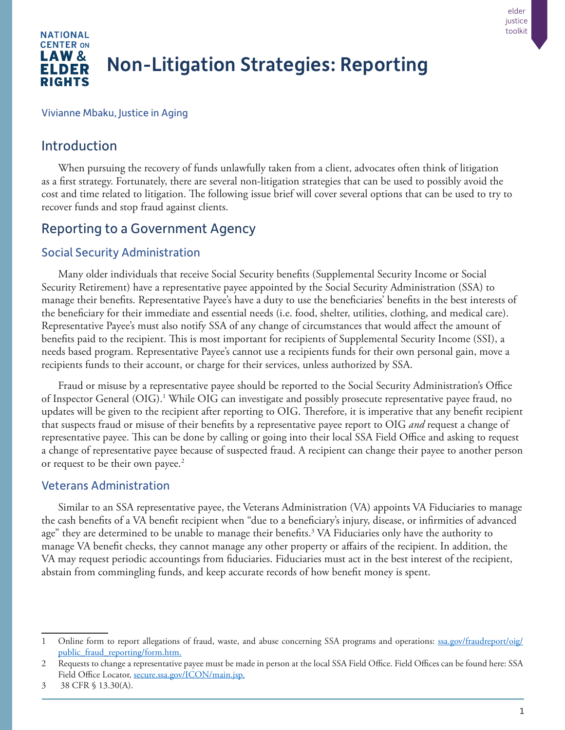

Vivianne Mbaku, Justice in Aging

## Introduction

When pursuing the recovery of funds unlawfully taken from a client, advocates often think of litigation as a first strategy. Fortunately, there are several non-litigation strategies that can be used to possibly avoid the cost and time related to litigation. The following issue brief will cover several options that can be used to try to recover funds and stop fraud against clients.

# Reporting to a Government Agency

### Social Security Administration

Many older individuals that receive Social Security benefits (Supplemental Security Income or Social Security Retirement) have a representative payee appointed by the Social Security Administration (SSA) to manage their benefits. Representative Payee's have a duty to use the beneficiaries' benefits in the best interests of the beneficiary for their immediate and essential needs (i.e. food, shelter, utilities, clothing, and medical care). Representative Payee's must also notify SSA of any change of circumstances that would affect the amount of benefits paid to the recipient. This is most important for recipients of Supplemental Security Income (SSI), a needs based program. Representative Payee's cannot use a recipients funds for their own personal gain, move a recipients funds to their account, or charge for their services, unless authorized by SSA.

Fraud or misuse by a representative payee should be reported to the Social Security Administration's Office of Inspector General (OIG).<sup>1</sup> While OIG can investigate and possibly prosecute representative payee fraud, no updates will be given to the recipient after reporting to OIG. Therefore, it is imperative that any benefit recipient that suspects fraud or misuse of their benefits by a representative payee report to OIG *and* request a change of representative payee. This can be done by calling or going into their local SSA Field Office and asking to request a change of representative payee because of suspected fraud. A recipient can change their payee to another person or request to be their own payee.<sup>2</sup>

#### Veterans Administration

Similar to an SSA representative payee, the Veterans Administration (VA) appoints VA Fiduciaries to manage the cash benefits of a VA benefit recipient when "due to a beneficiary's injury, disease, or infirmities of advanced age" they are determined to be unable to manage their benefits.<sup>3</sup> VA Fiduciaries only have the authority to manage VA benefit checks, they cannot manage any other property or affairs of the recipient. In addition, the VA may request periodic accountings from fiduciaries. Fiduciaries must act in the best interest of the recipient, abstain from commingling funds, and keep accurate records of how benefit money is spent.

elder justice toolkit

<sup>1</sup> Online form to report allegations of fraud, waste, and abuse concerning SSA programs and operations: [ssa.gov/fraudreport/oig/](https://www.ssa.gov/fraudreport/oig/public_fraud_reporting/form.htm) [public\\_fraud\\_reporting/form.htm](https://www.ssa.gov/fraudreport/oig/public_fraud_reporting/form.htm).

<sup>2</sup> Requests to change a representative payee must be made in person at the local SSA Field Office. Field Offices can be found here: SSA Field Office Locator, [secure.ssa.gov/ICON/main.jsp](https://secure.ssa.gov/ICON/main.jsp).

<sup>3 38</sup> CFR § 13.30(A).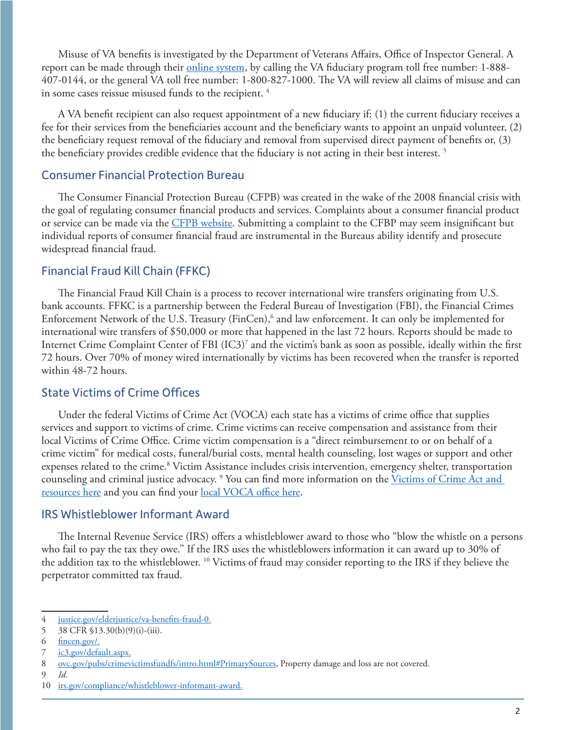Misuse of VA benefits is investigated by the Department of Veterans Affairs, Office of Inspector General. A report can be made through their [online system](https://www.va.gov/oig/hotline/complainant-release-preference.asp), by calling the VA fiduciary program toll free number: 1-888-407-0144, or the general VA toll free number: 1-800-827-1000. The VA will review all claims of misuse and can in some cases reissue misused funds to the recipient.<sup>4</sup>

A VA benefit recipient can also request appointment of a new fiduciary if: (1) the current fiduciary receives a fee for their services from the beneficiaries account and the beneficiary wants to appoint an unpaid volunteer, (2) the beneficiary request removal of the fiduciary and removal from supervised direct payment of benefits or, (3) the beneficiary provides credible evidence that the fiduciary is not acting in their best interest.<sup>5</sup>

#### Consumer Financial Protection Bureau

The Consumer Financial Protection Bureau (CFPB) was created in the wake of the 2008 financial crisis with the goal of regulating consumer financial products and services. Complaints about a consumer financial product or service can be made via the [CFPB website.](https://www.consumerfinance.gov/complaint/) Submitting a complaint to the CFBP may seem insignificant but individual reports of consumer financial fraud are instrumental in the Bureaus ability identify and prosecute widespread financial fraud.

### Financial Fraud Kill Chain (FFKC)

The Financial Fraud Kill Chain is a process to recover international wire transfers originating from U.S. bank accounts. FFKC is a partnership between the Federal Bureau of Investigation (FBI), the Financial Crimes Enforcement Network of the U.S. Treasury (FinCen),<sup>6</sup> and law enforcement. It can only be implemented for international wire transfers of \$50,000 or more that happened in the last 72 hours. Reports should be made to Internet Crime Complaint Center of FBI (IC3)7 and the victim's bank as soon as possible, ideally within the first 72 hours. Over 70% of money wired internationally by victims has been recovered when the transfer is reported within 48-72 hours.

### State Victims of Crime Offices

Under the federal Victims of Crime Act (VOCA) each state has a victims of crime office that supplies services and support to victims of crime. Crime victims can receive compensation and assistance from their local Victims of Crime Office. Crime victim compensation is a "direct reimbursement to or on behalf of a crime victim" for medical costs, funeral/burial costs, mental health counseling, lost wages or support and other expenses related to the crime.<sup>8</sup> Victim Assistance includes crisis intervention, emergency shelter, transportation counseling and criminal justice advocacy. <sup>9</sup> You can find more information on the <u>Victims of Crime Act and</u> [resources here](mailto:https://www.ovc.gov/?subject=) and you can find your [local VOCA office here](mailto:https://navaa.org/state-administrator-directory/?subject=).

#### IRS Whistleblower Informant Award

The Internal Revenue Service (IRS) offers a whistleblower award to those who "blow the whistle on a persons who fail to pay the tax they owe." If the IRS uses the whistleblowers information it can award up to 30% of the addition tax to the whistleblower. 10 Victims of fraud may consider reporting to the IRS if they believe the perpetrator committed tax fraud.

9 *Id*.

<sup>4</sup> j[ustice.gov/elderjustice/va-benefits-fraud-0](https://www.justice.gov/elderjustice/va-benefits-fraud-0).

<sup>5</sup> 38 CFR §13.30(b)(9)(i)-(iii).

<sup>6</sup> [fincen.gov/.](https://www.fincen.gov/)

<sup>7</sup> [ic3.gov/default.aspx.](https://www.ic3.gov/default.aspx)

<sup>8</sup> ovc.gov/pubs/crimevictimsfundfs/intro.html#PrimarySources, Property damage and loss are not covered.

<sup>10</sup> [irs.gov/compliance/whistleblower-informant-award](https://www.irs.gov/compliance/whistleblower-informant-award).